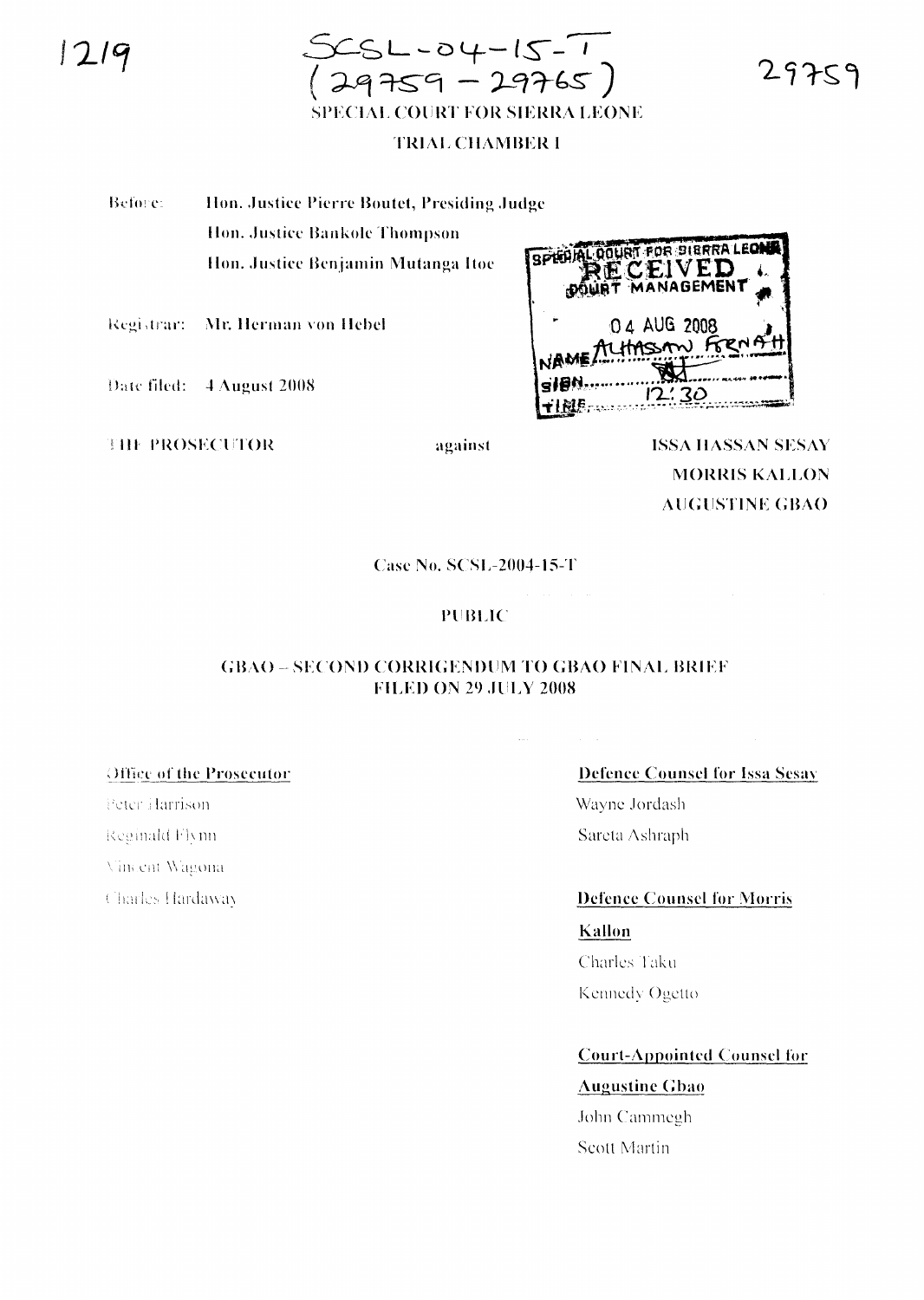

#### **TRIAL CHAMBER I**

Before: Hon. Justice Pierre Boutet, Presiding Judge Hon. Justice Bankole Thompson Hon. Justice Benjamin Mutanga Itoe

Registrar: Mr. Herman von Hebel

Date filed: 4 August 2008

**THE PROSECUTOR** 

against

SPIELAL OQURT FOR BIERRA LEON ECEIVED MANAGEMENT 0 4 AUG 2008

> **ISSA HASSAN SESAY MORRIS KALLON AUGUSTINE GBAO**

**Case No. SCSL-2004-15-T** 

#### **PUBLIC**

#### **GBAO - SECOND CORRIGENDUM TO GBAO FINAL BRIEF FILED ON 29 JULY 2008**

#### Office of the Prosecutor

Peter Harrison Reginald Flynn Vincent Wagona Charles Hardaway

## **Defence Counsel for Issa Sesay**

Wayne Jordash Sareta Ashraph

**Defence Counsel for Morris** Kallon

Charles Taku Kennedy Ogetto

### Court-Appointed Counsel for

#### **Augustine Gbao**

John Cammegh Scott Martin

29759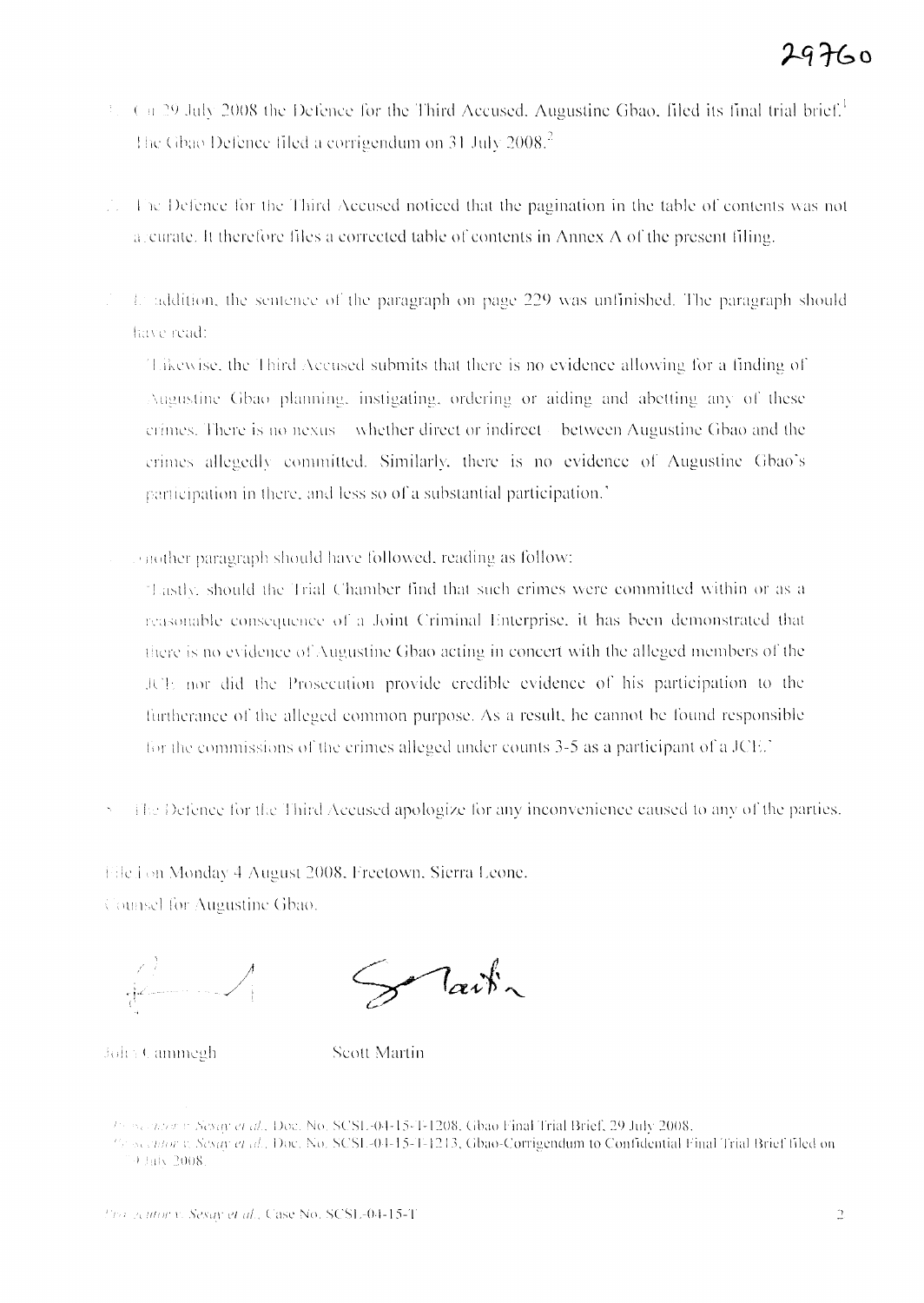- $\epsilon$  n 29 July 2008 the Defence for the Third Accused. Augustine Gbao, filed its final trial brief.<sup>1</sup> The Gbao Defence filed a corrigendum on 31 July 2008. $^2$
- The Defence for the Third Accused noticed that the pagination in the table of contents was not a curate. It therefore files a corrected table of contents in Annex  $A$  of the present filing.
- Landdition, the sentence of the paragraph on page 229 was unfinished. The paragraph should have read:

Takewise, the Third Accused submits that there is no evidence allowing for a finding of Augustine Gbao planning, instigating, ordering or aiding and abetting any of these erimes. There is no nexus—whether direct or indirect between Augustine Gbao and the crimes allegedly committed. Similarly, there is no evidence of Augustine Gbao's participation in there, and less so of a substantial participation.

inother paragraph should have followed, reading as follow:

"Lastly, should the Trial Chamber find that such crimes were committed within or as a reasonable consequence of a Joint Criminal Enterprise, it has been demonstrated that there is no evidence of Augustine Gbao acting in concert with the alleged members of the JCE nor did the Prosecution provide credible evidence of his participation to the furtherance of the alleged common purpose. As a result, he cannot be found responsible for the commissions of the crimes alleged under counts 3-5 as a participant of a JCE.'

The Defence for the Third Accused apologize for any inconvenience caused to any of the parties.

Elle.i on Monday 4 August 2008, Freetown, Sierra Leone.

Counsel for Augustine Gbao.

 $\int$ ait $\sim$ 

John Cammegh

**Scott Martin** 

<sup>19</sup> Secretor v. Sesay et al., Doc. No. SCSL-04-15-T-1208, Gbao Final Trial Brief, 29 July 2008.

<sup>197</sup> Secretor v. Sesav et al., Doc. No. SCSL-04-15-T-1213, Gbao-Corrigendum to Confidential Final Trial Brief filed on  $9 \,$  Hily 2008.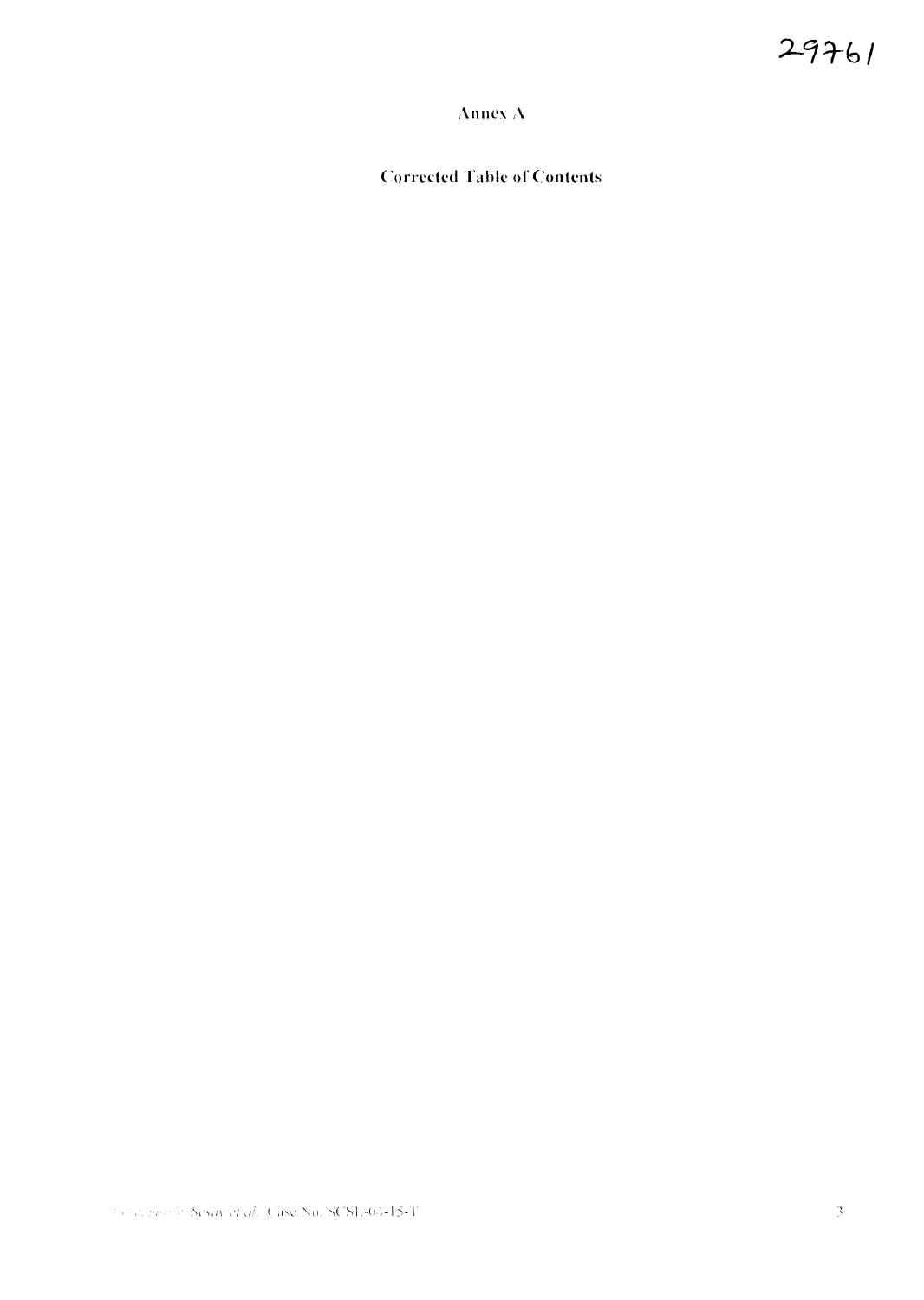## Annex A

**Corrected Table of Contents**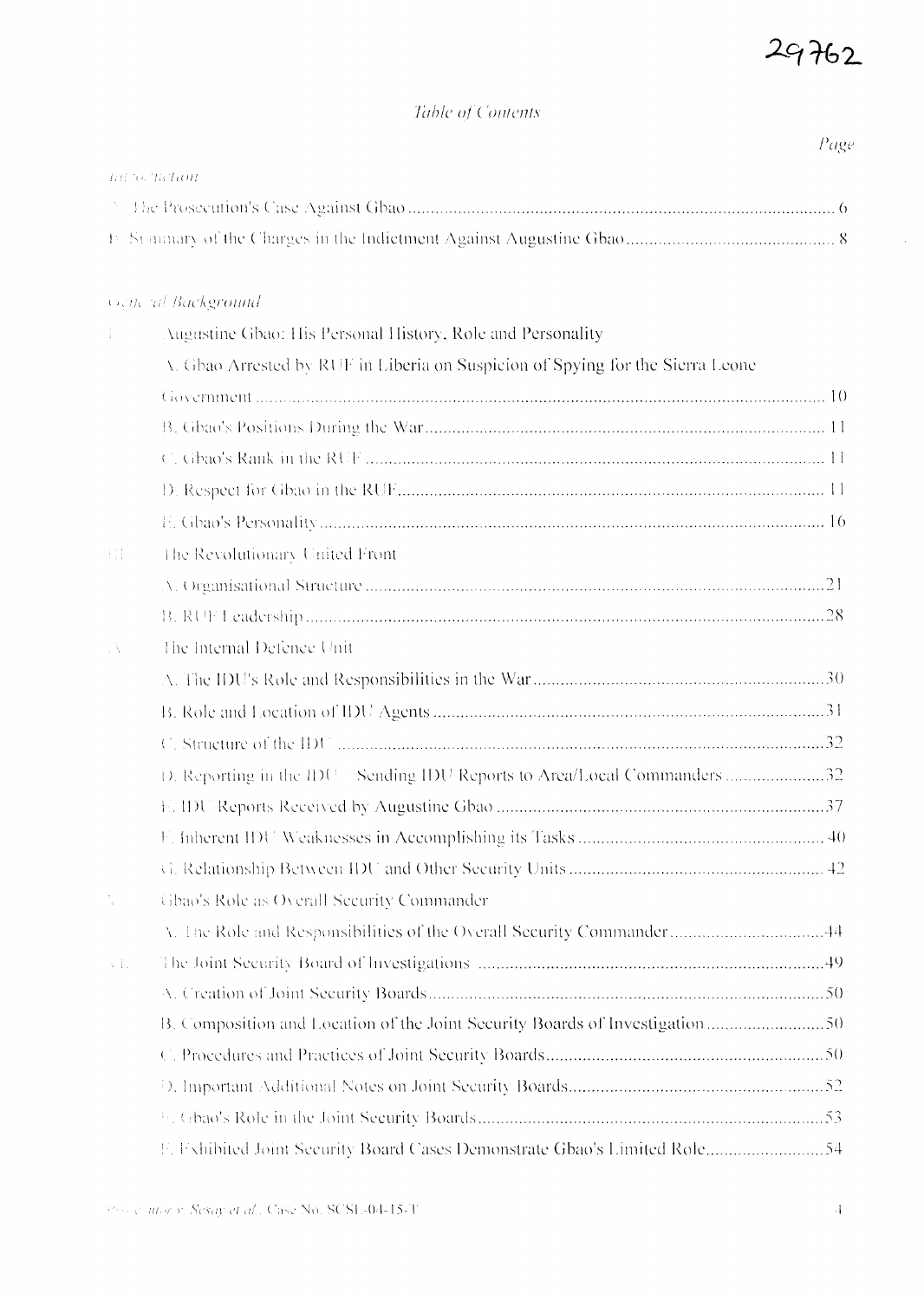Page

 $\mathcal{L}_{\mathcal{L}}$ 

### Table of Contents

| AREAN TRANKING |  |
|----------------|--|
|                |  |
|                |  |

### Come al Background

|                      | Augustine Gbao: His Personal History, Role and Personality                     |  |  |  |  |
|----------------------|--------------------------------------------------------------------------------|--|--|--|--|
|                      | V. Gbao Arrested by RUF in Liberia on Suspicion of Spying for the Sierra Leone |  |  |  |  |
|                      |                                                                                |  |  |  |  |
|                      |                                                                                |  |  |  |  |
|                      |                                                                                |  |  |  |  |
|                      |                                                                                |  |  |  |  |
|                      |                                                                                |  |  |  |  |
| 大学                   | The Revolutionary United Front                                                 |  |  |  |  |
|                      |                                                                                |  |  |  |  |
|                      |                                                                                |  |  |  |  |
| $\Delta$ .           | The Internal Defence Unit                                                      |  |  |  |  |
|                      |                                                                                |  |  |  |  |
|                      |                                                                                |  |  |  |  |
|                      |                                                                                |  |  |  |  |
|                      | D. Reporting in the IDU Sending IDU Reports to Area/Local Commanders 32        |  |  |  |  |
|                      |                                                                                |  |  |  |  |
|                      |                                                                                |  |  |  |  |
|                      |                                                                                |  |  |  |  |
| $\frac{\epsilon}{2}$ | Gbao's Role as Overall Security Commander                                      |  |  |  |  |
|                      | V. The Role and Responsibilities of the Overall Security Commander44           |  |  |  |  |
| $\sqrt{1}$           |                                                                                |  |  |  |  |
|                      |                                                                                |  |  |  |  |
|                      |                                                                                |  |  |  |  |
|                      |                                                                                |  |  |  |  |
|                      |                                                                                |  |  |  |  |
|                      |                                                                                |  |  |  |  |
|                      |                                                                                |  |  |  |  |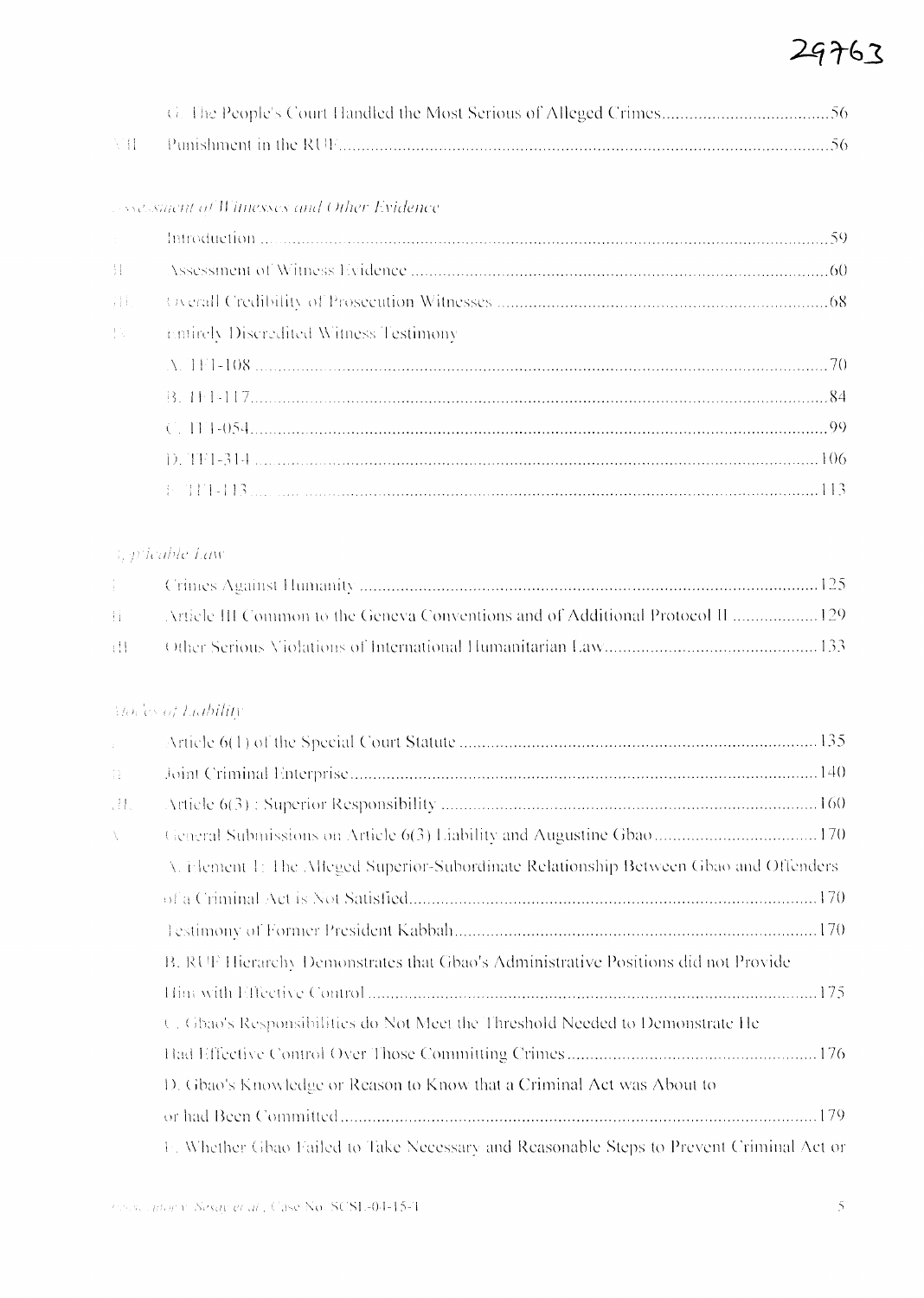### Association of Witnesses and Other Evidence

| $\mathbf{r}^{\mathrm{max}}$ |                                               |  |
|-----------------------------|-----------------------------------------------|--|
|                             |                                               |  |
| 1日。                         |                                               |  |
| pipe and                    | <b>Entirely Discredited Witness Testimony</b> |  |
|                             |                                               |  |
|                             |                                               |  |
|                             | $C. 111-054$                                  |  |
|                             |                                               |  |
|                             | $+ 717 - 113$                                 |  |

## 3, pricable Law

## Movies of Liability

| $\mathcal{L}$ |                                                                                          |
|---------------|------------------------------------------------------------------------------------------|
| $\{ \}$       |                                                                                          |
| W.            |                                                                                          |
| Â.            | General Submissions on Article 6(3) Liability and Augustine Gbao  170                    |
|               | V. Element 1: The Alfeged Superior-Subordinate Relationship Between Gbao and Offenders.  |
|               |                                                                                          |
|               |                                                                                          |
|               | B. RUF Hierarchy Demonstrates that Gbao's Administrative Positions did not Provide       |
|               |                                                                                          |
|               | C. Gbao's Responsibilities do Not Meet the Threshold Needed to Demonstrate He            |
|               |                                                                                          |
|               | D. Gbao's Knowledge or Reason to Know that a Criminal Act was About to                   |
|               |                                                                                          |
|               | F. Whether Gbao Failed to Take Necessary and Reasonable Steps to Prevent Criminal Act or |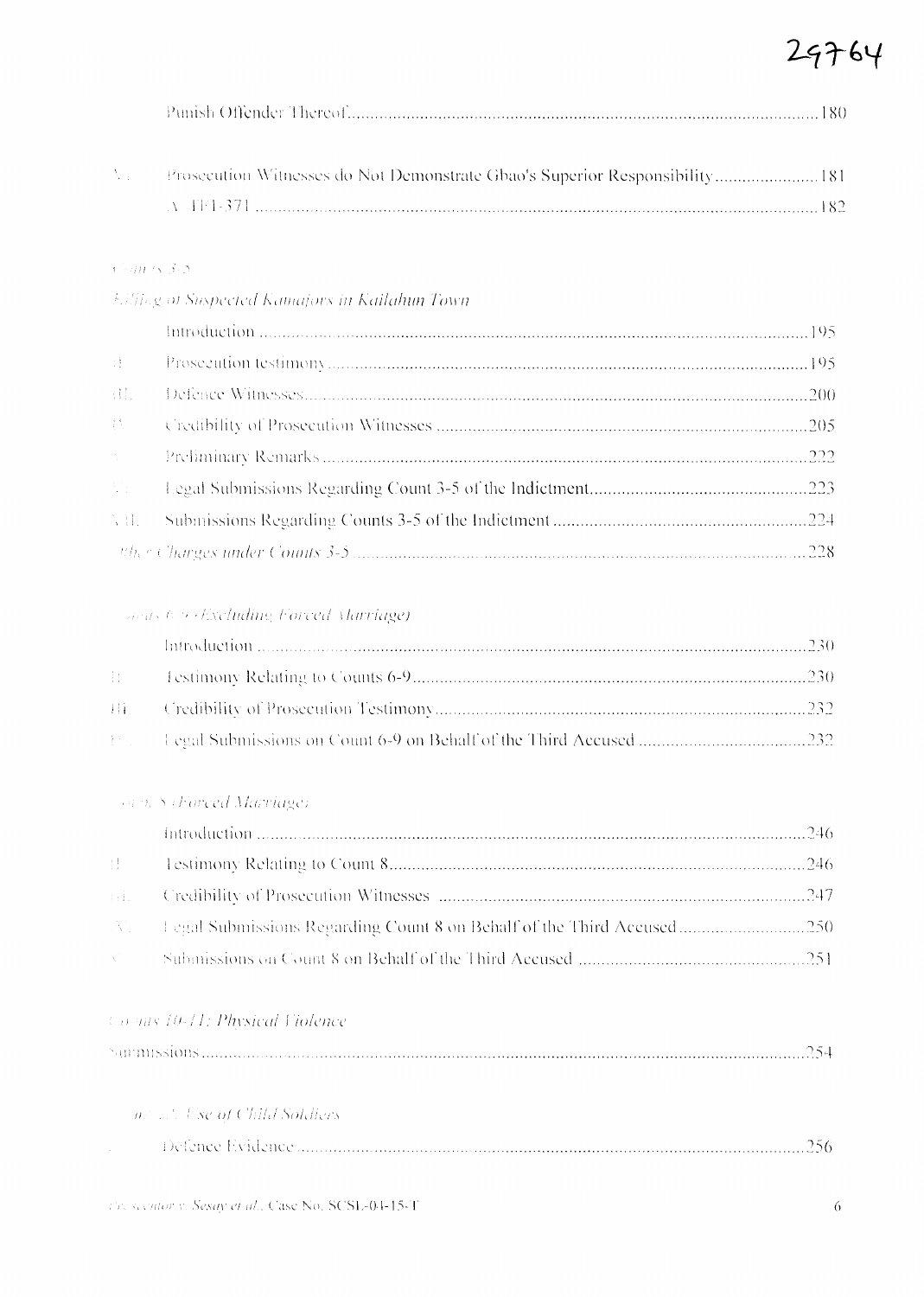|--|--|

| Prosecution Witnesses do Not Demonstrate Gbao's Superior Responsibility 181 |  |
|-----------------------------------------------------------------------------|--|
| - V - 1141 - 371 - 1                                                        |  |

### $A\stackrel{f}{\rightarrow} \partial B\stackrel{f}{\rightarrow} S\stackrel{g}{\rightarrow} \mathcal{D}$

|  |  |  | <b>Eilling of Suspected Kamajors in Kailahun Town</b> |
|--|--|--|-------------------------------------------------------|
|--|--|--|-------------------------------------------------------|

| $\mathcal{W}^{\pm}$                                             |  |
|-----------------------------------------------------------------|--|
| $\{\begin{smallmatrix} 1 & 1 \\ 1 & 1 \end{smallmatrix}\}$ .    |  |
| $\frac{1}{2}\frac{1}{2} \frac{1}{2} \left( \frac{1}{2} \right)$ |  |
| $\lambda_{\rm{max}}$                                            |  |
|                                                                 |  |
|                                                                 |  |
|                                                                 |  |

Souts 6.9 (Excluding Forced Marriage)

### va 9. S. Forced Marriage).

| Albert Co |  |
|-----------|--|

### Co mts 10-11: Physical Violence

| <i>and all Use of Child Soldiers -</i> |  |
|----------------------------------------|--|
|                                        |  |